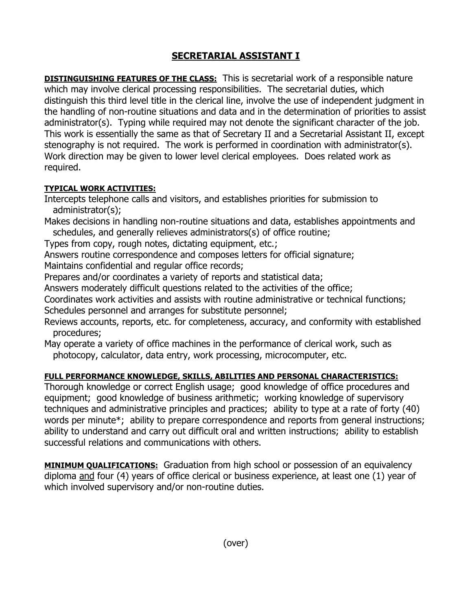## **SECRETARIAL ASSISTANT I**

**DISTINGUISHING FEATURES OF THE CLASS:** This is secretarial work of a responsible nature which may involve clerical processing responsibilities. The secretarial duties, which distinguish this third level title in the clerical line, involve the use of independent judgment in the handling of non-routine situations and data and in the determination of priorities to assist administrator(s). Typing while required may not denote the significant character of the job. This work is essentially the same as that of Secretary II and a Secretarial Assistant II, except stenography is not required. The work is performed in coordination with administrator(s). Work direction may be given to lower level clerical employees. Does related work as required.

## **TYPICAL WORK ACTIVITIES:**

Intercepts telephone calls and visitors, and establishes priorities for submission to administrator(s);

Makes decisions in handling non-routine situations and data, establishes appointments and schedules, and generally relieves administrators(s) of office routine;

Types from copy, rough notes, dictating equipment, etc.;

Answers routine correspondence and composes letters for official signature;

Maintains confidential and regular office records;

Prepares and/or coordinates a variety of reports and statistical data;

Answers moderately difficult questions related to the activities of the office;

Coordinates work activities and assists with routine administrative or technical functions; Schedules personnel and arranges for substitute personnel;

Reviews accounts, reports, etc. for completeness, accuracy, and conformity with established procedures;

May operate a variety of office machines in the performance of clerical work, such as photocopy, calculator, data entry, work processing, microcomputer, etc.

## **FULL PERFORMANCE KNOWLEDGE, SKILLS, ABILITIES AND PERSONAL CHARACTERISTICS:**

Thorough knowledge or correct English usage; good knowledge of office procedures and equipment; good knowledge of business arithmetic; working knowledge of supervisory techniques and administrative principles and practices; ability to type at a rate of forty (40) words per minute<sup>\*</sup>; ability to prepare correspondence and reports from general instructions; ability to understand and carry out difficult oral and written instructions; ability to establish successful relations and communications with others.

**MINIMUM QUALIFICATIONS:** Graduation from high school or possession of an equivalency diploma and four (4) years of office clerical or business experience, at least one (1) year of which involved supervisory and/or non-routine duties.